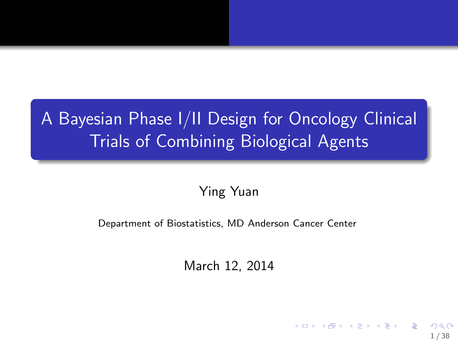## A Bayesian Phase I/II Design for Oncology Clinical Trials of Combining Biological Agents

#### Ying Yuan

#### Department of Biostatistics, MD Anderson Cancer Center

March 12, 2014

1 / 38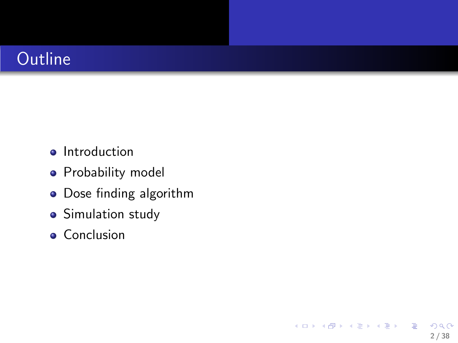#### **Outline**

- **•** Introduction
- **•** Probability model
- Dose finding algorithm

2 / 38

 $299$ 

K ロ X K @ X K 경 X X 경 X X 경

- **•** Simulation study
- **•** Conclusion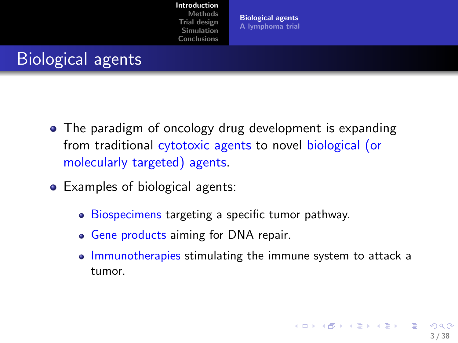[Introduction](#page-2-0)

[Methods](#page-8-0) [Trial design](#page-13-0) [Simulation](#page-27-0) [Conclusions](#page-35-0)

<span id="page-2-0"></span>[Biological agents](#page-2-0) [A lymphoma trial](#page-5-0)

#### Biological agents

- The paradigm of oncology drug development is expanding from traditional cytotoxic agents to novel biological (or molecularly targeted) agents.
- Examples of biological agents:
	- Biospecimens targeting a specific tumor pathway.
	- Gene products aiming for DNA repair.
	- Immunotherapies stimulating the immune system to attack a tumor.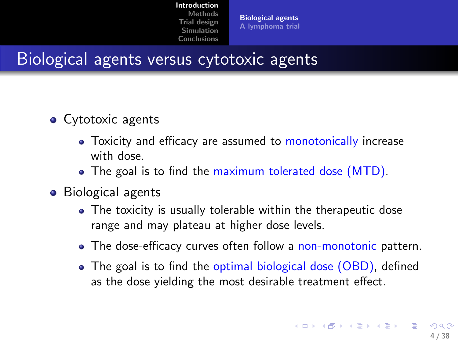[Biological agents](#page-2-0) [A lymphoma trial](#page-5-0)

#### Biological agents versus cytotoxic agents

- Cytotoxic agents
	- Toxicity and efficacy are assumed to monotonically increase with dose.
	- The goal is to find the maximum tolerated dose (MTD).
- Biological agents
	- The toxicity is usually tolerable within the therapeutic dose range and may plateau at higher dose levels.
	- The dose-efficacy curves often follow a non-monotonic pattern.
	- The goal is to find the optimal biological dose (OBD), defined as the dose yielding the most desirable treatment effect.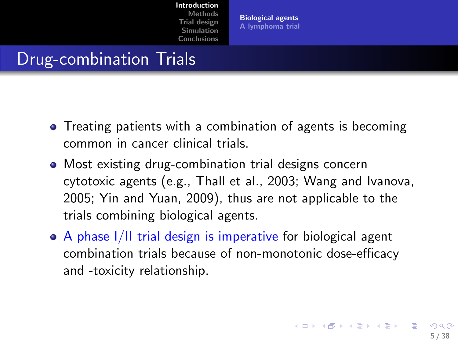[Biological agents](#page-2-0) [A lymphoma trial](#page-5-0)

#### Drug-combination Trials

- Treating patients with a combination of agents is becoming common in cancer clinical trials.
- Most existing drug-combination trial designs concern cytotoxic agents (e.g., Thall et al., 2003; Wang and Ivanova, 2005; Yin and Yuan, 2009), thus are not applicable to the trials combining biological agents.
- A phase I/II trial design is imperative for biological agent combination trials because of non-monotonic dose-efficacy and -toxicity relationship.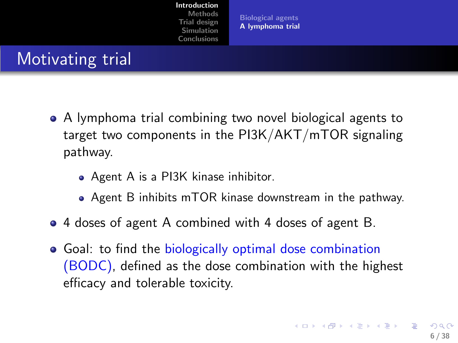<span id="page-5-0"></span>[Biological agents](#page-2-0) [A lymphoma trial](#page-5-0)

### Motivating trial

- A lymphoma trial combining two novel biological agents to target two components in the PI3K/AKT/mTOR signaling pathway.
	- Agent A is a PI3K kinase inhibitor.
	- Agent B inhibits mTOR kinase downstream in the pathway.
- 4 doses of agent A combined with 4 doses of agent B.
- Goal: to find the biologically optimal dose combination (BODC), defined as the dose combination with the highest efficacy and tolerable toxicity.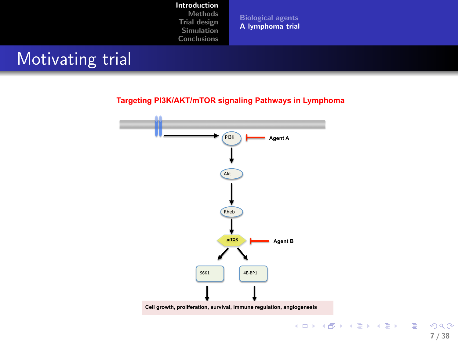#### [Introduction](#page-2-0)

[Methods](#page-8-0) [Trial design](#page-13-0) [Simulation](#page-27-0) [Conclusions](#page-35-0)

[Biological agents](#page-2-0) [A lymphoma trial](#page-5-0)

#### Motivating trial

#### **Targeting PI3K/AKT/mTOR signaling Pathways in Lymphoma**



 $299$ 7 / 38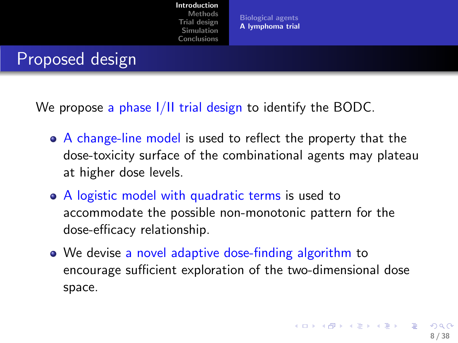[Biological agents](#page-2-0) [A lymphoma trial](#page-5-0)

#### Proposed design

We propose a phase I/II trial design to identify the BODC.

- A change-line model is used to reflect the property that the dose-toxicity surface of the combinational agents may plateau at higher dose levels.
- A logistic model with quadratic terms is used to accommodate the possible non-monotonic pattern for the dose-efficacy relationship.
- We devise a novel adaptive dose-finding algorithm to encourage sufficient exploration of the two-dimensional dose space.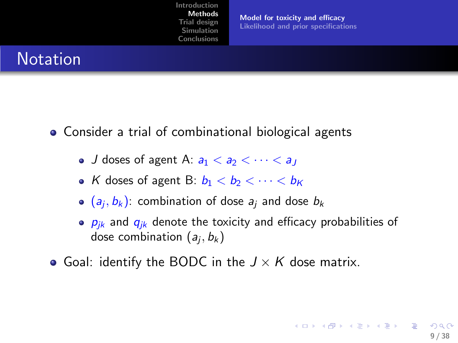<span id="page-8-0"></span>[Model for toxicity and efficacy](#page-8-0) [Likelihood and prior specifications](#page-11-0)

#### **Notation**

- Consider a trial of combinational biological agents
	- J doses of agent A:  $a_1 < a_2 < \cdots < a_l$
	- K doses of agent B:  $b_1 < b_2 < \cdots < b_K$
	- $(a_j, b_k)$ : combination of dose  $a_j$  and dose  $b_k$
	- $\bullet$   $p_{ik}$  and  $q_{ik}$  denote the toxicity and efficacy probabilities of dose combination  $(a_j, b_k)$
- Goal: identify the BODC in the  $J \times K$  dose matrix.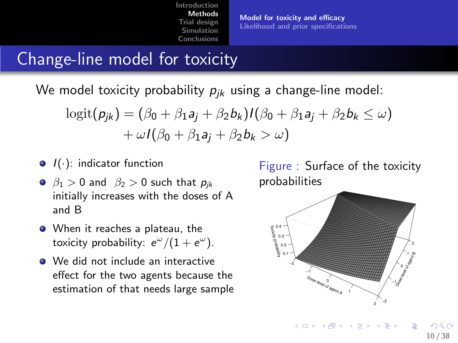[Model for toxicity and efficacy](#page-8-0) [Likelihood and prior specifications](#page-11-0)

### Change-line model for toxicity

We model toxicity probability  $p_{ik}$  using a change-line model:

$$
logit(p_{jk}) = (\beta_0 + \beta_1 a_j + \beta_2 b_k)I(\beta_0 + \beta_1 a_j + \beta_2 b_k \le \omega) + \omega I(\beta_0 + \beta_1 a_j + \beta_2 b_k > \omega)
$$

- $\bullet$   $I(\cdot)$ : indicator function
- $\theta_1 > 0$  and  $\beta_2 > 0$  such that  $p_{ik}$ initially increases with the doses of A and B
- When it reaches a plateau, the toxicity probability:  $e^{\omega}/(1+e^{\omega})$ .
- We did not include an interactive effect for the two agents because the estimation of that needs large sample

Figure : Surface of the toxicity probabilities



 $\left\{ \begin{array}{ccc} 1 & 0 & 0 \\ 0 & 1 & 0 \end{array} \right.$ 

10 / 38

 $\Omega$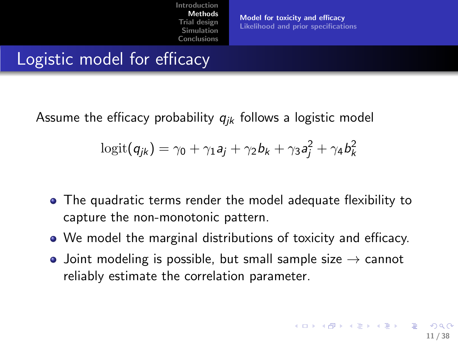[Model for toxicity and efficacy](#page-8-0) [Likelihood and prior specifications](#page-11-0)

### Logistic model for efficacy

Assume the efficacy probability  $q_{ik}$  follows a logistic model

$$
\text{logit}(q_{jk}) = \gamma_0 + \gamma_1 a_j + \gamma_2 b_k + \gamma_3 a_j^2 + \gamma_4 b_k^2
$$

- The quadratic terms render the model adequate flexibility to capture the non-monotonic pattern.
- We model the marginal distributions of toxicity and efficacy.
- Joint modeling is possible, but small sample size  $\rightarrow$  cannot reliably estimate the correlation parameter.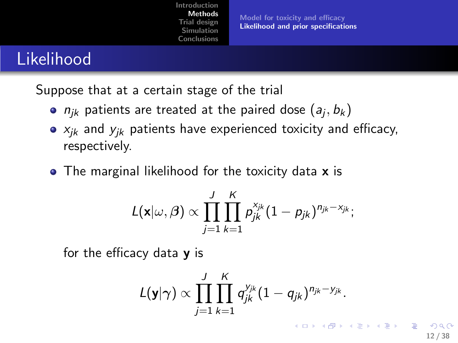[Model for toxicity and efficacy](#page-8-0) [Likelihood and prior specifications](#page-11-0)

#### Likelihood

Suppose that at a certain stage of the trial

- $n_{jk}$  patients are treated at the paired dose  $(a_j, b_k)$
- $\bullet$   $x_{ik}$  and  $y_{ik}$  patients have experienced toxicity and efficacy, respectively.
- The marginal likelihood for the toxicity data **x** is

$$
L(\mathbf{x}|\omega,\beta) \propto \prod_{j=1}^J \prod_{k=1}^K p_{jk}^{\mathsf{x}_{jk}} (1-p_{jk})^{n_{jk}-\mathsf{x}_{jk}};
$$

for the efficacy data  $\boldsymbol{y}$  is

$$
L(\mathbf{y}|\boldsymbol{\gamma}) \propto \prod_{j=1}^J \prod_{k=1}^K q_{jk}^{y_{jk}} (1-q_{jk})^{n_{jk}-y_{jk}}.
$$

<span id="page-11-0"></span>12 / 38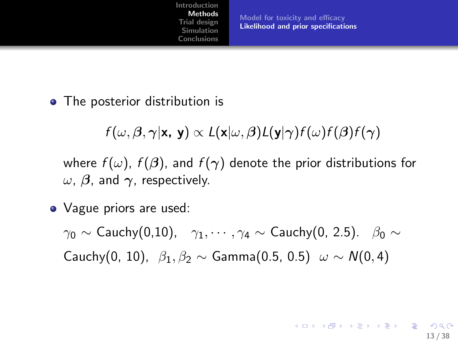[Model for toxicity and efficacy](#page-8-0) [Likelihood and prior specifications](#page-11-0)

13 / 38

**KORK EX KEY A BY A GAR** 

• The posterior distribution is

 $f(\omega, \beta, \gamma | \mathbf{x}, \mathbf{y}) \propto L(\mathbf{x} | \omega, \beta) L(\mathbf{y} | \gamma) f(\omega) f(\beta) f(\gamma)$ 

where  $f(\omega)$ ,  $f(\beta)$ , and  $f(\gamma)$  denote the prior distributions for  $ω$ ,  $β$ , and  $γ$ , respectively.

• Vague priors are used:

 $\gamma_0 \sim$  Cauchy(0,10),  $\gamma_1, \cdots, \gamma_4 \sim$  Cauchy(0, 2.5).  $\beta_0 \sim$ Cauchy(0, 10),  $\beta_1, \beta_2 \sim \text{Gamma}(0.5, 0.5)$   $\omega \sim N(0, 4)$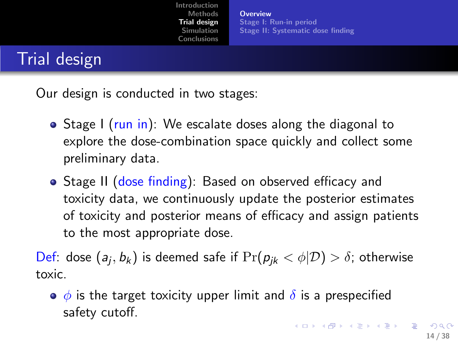**[Overview](#page-13-0)** [Stage I: Run-in period](#page-14-0) [Stage II: Systematic dose finding](#page-15-0)

#### Trial design

Our design is conducted in two stages:

- Stage I (run in): We escalate doses along the diagonal to explore the dose-combination space quickly and collect some preliminary data.
- Stage II (dose finding): Based on observed efficacy and toxicity data, we continuously update the posterior estimates of toxicity and posterior means of efficacy and assign patients to the most appropriate dose.

Def: dose  $(a_j,b_k)$  is deemed safe if  $\Pr(p_{jk} < \phi | \mathcal{D}) > \delta$ ; otherwise toxic.

<span id="page-13-0"></span> $\bullet$   $\phi$  is the target toxicity upper limit and  $\delta$  is a prespecified safety cutoff.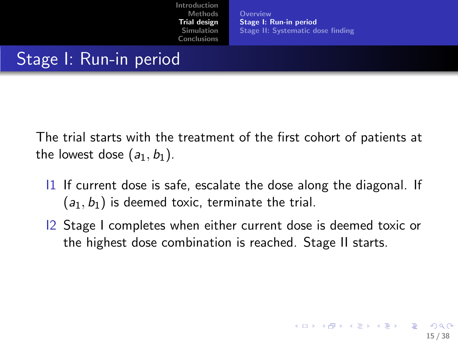<span id="page-14-0"></span>[Overview](#page-13-0) [Stage I: Run-in period](#page-14-0) [Stage II: Systematic dose finding](#page-15-0)

# Stage I: Run-in period

The trial starts with the treatment of the first cohort of patients at the lowest dose  $(a_1, b_1)$ .

- $11$  If current dose is safe, escalate the dose along the diagonal. If  $(a_1, b_1)$  is deemed toxic, terminate the trial.
- I2 Stage I completes when either current dose is deemed toxic or the highest dose combination is reached. Stage II starts.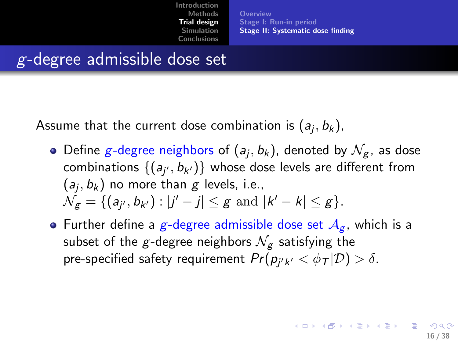<span id="page-15-0"></span>[Overview](#page-13-0) [Stage I: Run-in period](#page-14-0) [Stage II: Systematic dose finding](#page-15-0)

#### g-degree admissible dose set

Assume that the current dose combination is  $(a_j, b_k)$ ,

- Define  $g$ -degree neighbors of  $(a_j,b_k)$ , denoted by  $\mathcal{N}_g$ , as dose combinations  $\{(a_{j'},b_{k'})\}$  whose dose levels are different from  $(a_j, b_k)$  no more than  $g$  levels, i.e.,  $\mathcal{N}_g = \{ (a_{j'}, b_{k'}) : |j'-j| \leq g \text{ and } |k'-k| \leq g \}.$
- Further define a g-degree admissible dose set  $A_{\sigma}$ , which is a subset of the g-degree neighbors  $\mathcal{N}_{\sigma}$  satisfying the pre-specified safety requirement  $Pr(p_{j'k'} < \phi_{\mathcal{T}} | \mathcal{D}) > \delta.$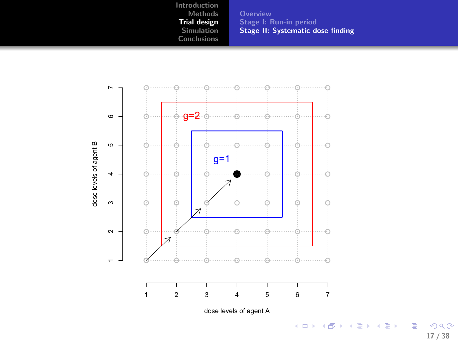**[Overview](#page-13-0)** [Stage I: Run-in period](#page-14-0) [Stage II: Systematic dose finding](#page-15-0)



17 / 38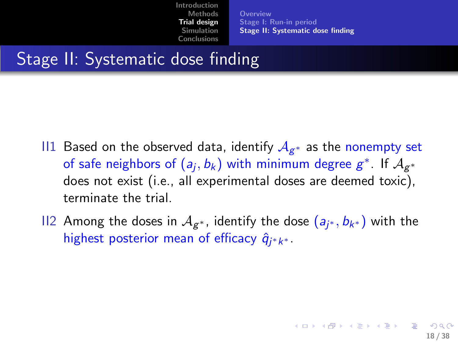[Overview](#page-13-0) [Stage I: Run-in period](#page-14-0) [Stage II: Systematic dose finding](#page-15-0)

## Stage II: Systematic dose finding

- $\Box$  Based on the observed data, identify  $\mathcal{A}_{\mathcal{g}^{*}}$  as the nonempty set of safe neighbors of  $(a_j, b_k)$  with minimum degree  $g^*$ . If  $\mathcal{A}_{g^*}$ does not exist (i.e., all experimental doses are deemed toxic), terminate the trial.
- II2 Among the doses in  $\mathcal{A}_{\mathcal{g}^*}$ , identify the dose  $(a_{j^*},b_{k^*})$  with the highest posterior mean of efficacy  $\hat{q}_{j^*k^*}$ .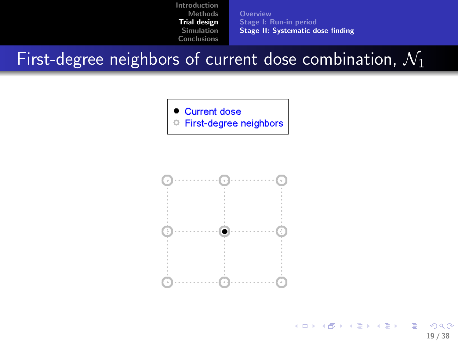[Overview](#page-13-0) [Stage I: Run-in period](#page-14-0) [Stage II: Systematic dose finding](#page-15-0)

First-degree neighbors of current dose combination,  $\mathcal{N}_1$ 



First-degree neighbors  $\circ$ 



イロメ イ団メ イモメ イモメー B  $\Omega$ 19 / 38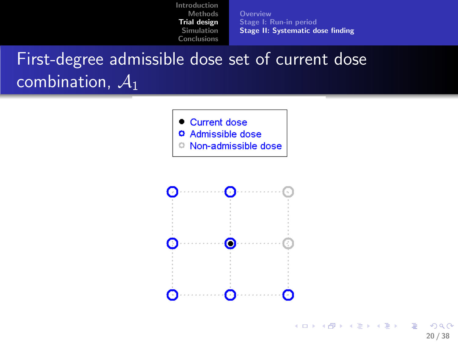[Overview](#page-13-0) [Stage I: Run-in period](#page-14-0) [Stage II: Systematic dose finding](#page-15-0)

## First-degree admissible dose set of current dose combination,  $A_1$

- Current dose
- **O** Admissible dose
- <sup>o</sup> Non-admissible dose

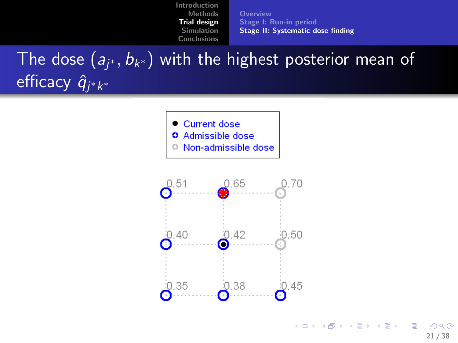[Overview](#page-13-0) [Stage I: Run-in period](#page-14-0) [Stage II: Systematic dose finding](#page-15-0)

The dose  $(\textit{a}_{j^*},\textit{b}_{k^*})$  with the highest posterior mean of efficacy  $\hat{q}_{j^*k^*}$ 

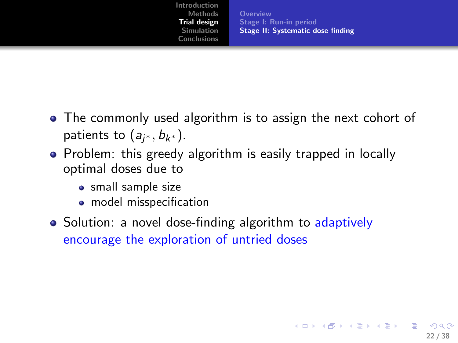[Overview](#page-13-0) [Stage I: Run-in period](#page-14-0) [Stage II: Systematic dose finding](#page-15-0)

22 / 38

**KORK EX KEY A BY A GAR** 

- The commonly used algorithm is to assign the next cohort of patients to  $(a_{j^*}, b_{k^*}).$
- Problem: this greedy algorithm is easily trapped in locally optimal doses due to
	- small sample size
	- model misspecification
- Solution: a novel dose-finding algorithm to adaptively encourage the exploration of untried doses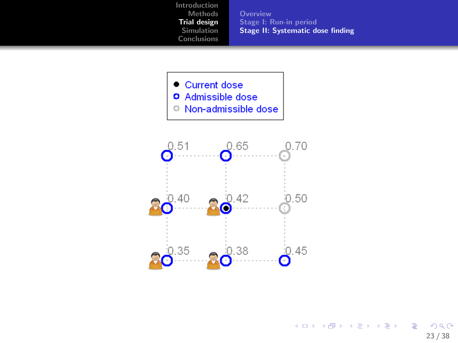**[Overview](#page-13-0)** [Stage I: Run-in period](#page-14-0) [Stage II: Systematic dose finding](#page-15-0)



- **O** Admissible dose
- <sup>o</sup> Non-admissible dose

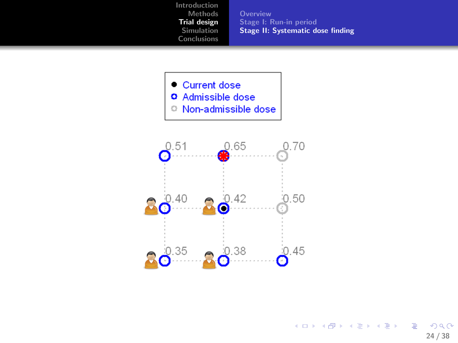**[Overview](#page-13-0)** [Stage I: Run-in period](#page-14-0) [Stage II: Systematic dose finding](#page-15-0)



- **O** Admissible dose
- <sup>o</sup> Non-admissible dose



K ロ ▶ K @ ▶ K 할 ▶ K 할 ▶ ① 할 → ① 의 ① 24 / 38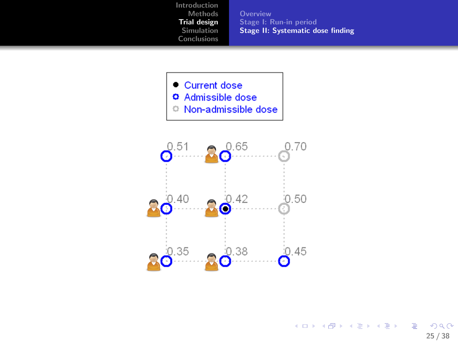**[Overview](#page-13-0)** [Stage I: Run-in period](#page-14-0) [Stage II: Systematic dose finding](#page-15-0)

• Current dose

- **O** Admissible dose
- Non-admissible dose

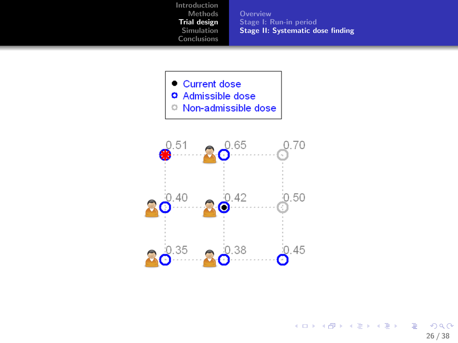**[Overview](#page-13-0)** [Stage I: Run-in period](#page-14-0) [Stage II: Systematic dose finding](#page-15-0)

• Current dose

- **O** Admissible dose
- <sup>©</sup> Non-admissible dose



K ロ ▶ K @ ▶ K 할 ▶ K 할 ▶ 이 할 → 9 Q Q → 26 / 38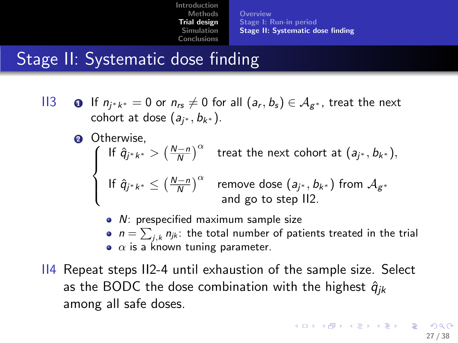[Overview](#page-13-0) [Stage I: Run-in period](#page-14-0) [Stage II: Systematic dose finding](#page-15-0)

### Stage II: Systematic dose finding

- II3 If  $n_{j^*k^*} = 0$  or  $n_{rs} \neq 0$  for all  $(a_r, b_s) \in \mathcal{A}_{g^*}$ , treat the next cohort at dose  $(a_{j^*}, b_{k^*}).$ 
	- **2** Otherwise.  $\sqrt{ }$  $\int$  $\overline{a}$ If  $\hat{q}_{j^*k^*} > \left(\frac{N-n}{N}\right)^\alpha$  treat the next cohort at  $(a_{j^*}, b_{k^*}),$ If  $\hat{q}_{j^*k^*} \leq \left(\frac{N-n}{N}\right)^\alpha$  remove dose  $(a_{j^*}, b_{k^*})$  from  $\mathcal{A}_{g^*}$ and go to step II2.
		- *N*: prespecified maximum sample size
		- $n=\sum_{j,k} n_{jk}$ : the total number of patients treated in the trial  $\bullet$   $\alpha$  is a known tuning parameter.
- II4 Repeat steps II2-4 until exhaustion of the sample size. Select as the BODC the dose combination with the highest  $\hat{q}_{ik}$ among all safe doses.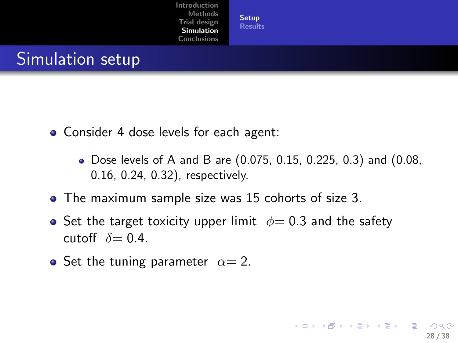[Setup](#page-27-0) [Results](#page-29-0)

#### Simulation setup

- Consider 4 dose levels for each agent:
	- Dose levels of A and B are (0.075, 0.15, 0.225, 0.3) and (0.08, 0.16, 0.24, 0.32), respectively.

<span id="page-27-0"></span>28 / 38

K ロ ▶ K 個 ▶ K 君 ▶ K 君 ▶ 「君」 約9.09

- The maximum sample size was 15 cohorts of size 3.
- Set the target toxicity upper limit  $\phi = 0.3$  and the safety cutoff  $\delta = 0.4$ .
- Set the tuning parameter  $\alpha = 2$ .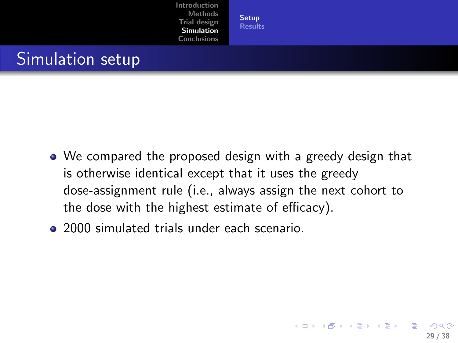[Setup](#page-27-0) [Results](#page-29-0)

#### Simulation setup

- We compared the proposed design with a greedy design that is otherwise identical except that it uses the greedy dose-assignment rule (i.e., always assign the next cohort to the dose with the highest estimate of efficacy).
- 2000 simulated trials under each scenario.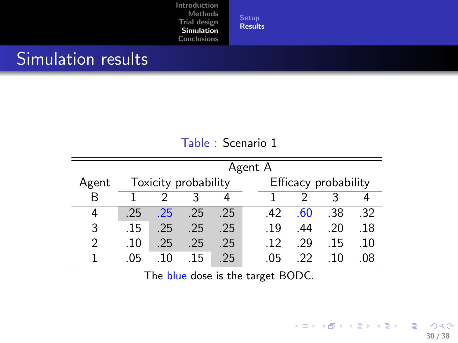**[Setup](#page-27-0)** [Results](#page-29-0)

#### Simulation results

#### <span id="page-29-0"></span>Table : Scenario 1

|               |     | Agent A              |        |     |  |                      |     |       |     |  |  |  |
|---------------|-----|----------------------|--------|-----|--|----------------------|-----|-------|-----|--|--|--|
| Agent         |     | Toxicity probability |        |     |  | Efficacy probability |     |       |     |  |  |  |
| R             |     |                      |        |     |  |                      |     |       |     |  |  |  |
| 4             | -25 | $-25$                | $-.25$ | -25 |  | 42                   | .60 | .38   | .32 |  |  |  |
| 3             | .15 | .25                  | .25    | .25 |  | .19                  | -44 | .20   | .18 |  |  |  |
| $\mathcal{P}$ | .10 | $-25$                | .25    | .25 |  | .12                  | .29 | .15   | .10 |  |  |  |
|               | .05 | .10                  | -15    | -25 |  | .05                  | 22  | . 1 N | 08  |  |  |  |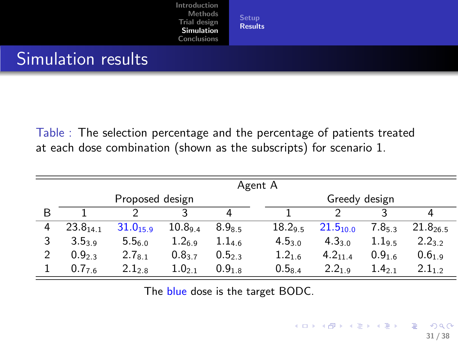**[Setup](#page-27-0)** [Results](#page-29-0)

#### Simulation results

Table : The selection percentage and the percentage of patients treated at each dose combination (shown as the subscripts) for scenario 1.

|   | Agent A             |               |             |        |  |             |                   |                    |                        |  |  |  |
|---|---------------------|---------------|-------------|--------|--|-------------|-------------------|--------------------|------------------------|--|--|--|
|   | Proposed design     |               |             |        |  |             | Greedy design     |                    |                        |  |  |  |
| B |                     |               | ੨           | Δ      |  |             |                   |                    | 4                      |  |  |  |
| 4 | $23.8_{141}$        | $31.0_{15.9}$ | 10.894      | 8.985  |  | 18.29.5     | $21.5_{10.0}$     | 7.8 <sub>5 3</sub> | $21.8$ <sub>26.5</sub> |  |  |  |
|   | 3.539               | 5.56.0        | 1.26.9      | 1.14.6 |  | $4.5_{3.0}$ | $4.3_{3.0}$       | 1.19.5             | $2.2_{3.2}$            |  |  |  |
|   | 0.9 <sub>2.3</sub>  | $2.7_{8.1}$   | $0.8_{3.7}$ | 0.523  |  | $1.2_{1.6}$ | $4.2_{11.4}$      | 0.916              | 0.619                  |  |  |  |
|   | $0.7$ <sub>76</sub> | $2.1_{2.8}$   | $1.0_{2,1}$ | 0.918  |  | $0.5_{8.4}$ | 2.2 <sub>19</sub> | $1.4_{21}$         | $2.1_{12}$             |  |  |  |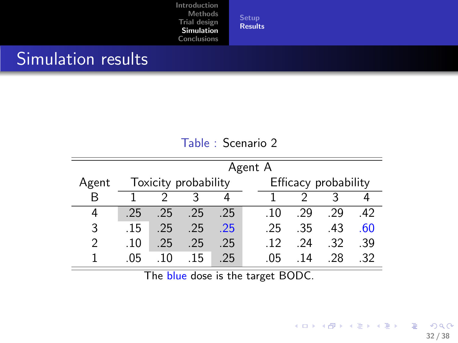**[Setup](#page-27-0)** [Results](#page-29-0)

#### Simulation results

#### Table : Scenario 2

|               |     | Agent A              |     |       |                      |                 |     |     |     |  |  |  |
|---------------|-----|----------------------|-----|-------|----------------------|-----------------|-----|-----|-----|--|--|--|
| Agent         |     | Toxicity probability |     |       | Efficacy probability |                 |     |     |     |  |  |  |
| R             |     |                      |     |       |                      |                 |     |     |     |  |  |  |
| 4             | -25 | $.25 \quad .25$      |     | -25   |                      | .10             | .29 | -29 | 42  |  |  |  |
| 3             | .15 | .25                  | .25 | $-25$ |                      | -25.            | -35 | -43 | .60 |  |  |  |
| $\mathcal{P}$ | .10 | .25                  | .25 | -25   |                      | $\overline{12}$ | -24 | -32 | .39 |  |  |  |
|               | .05 | 10                   | -15 | -25   |                      | .05             | -14 | -28 | -32 |  |  |  |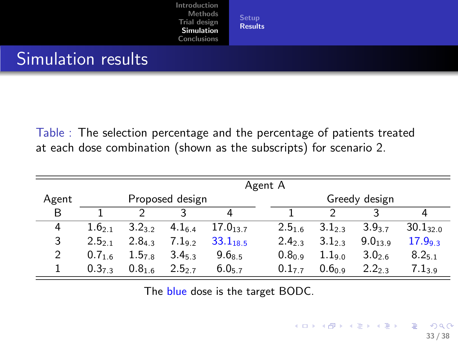**[Setup](#page-27-0)** [Results](#page-29-0)

#### Simulation results

Table : The selection percentage and the percentage of patients treated at each dose combination (shown as the subscripts) for scenario 2.

|       | Agent A            |                    |                   |                        |  |                    |                    |                    |                    |  |  |
|-------|--------------------|--------------------|-------------------|------------------------|--|--------------------|--------------------|--------------------|--------------------|--|--|
| Agent |                    |                    | Proposed design   |                        |  | Greedy design      |                    |                    |                    |  |  |
| B     |                    | 2                  | 3                 |                        |  |                    | っ                  | ર                  |                    |  |  |
| 4     | 1.6 <sub>2.1</sub> | 3.2 <sub>3.2</sub> | 4.1 <sub>64</sub> | $17.0$ <sub>13.7</sub> |  | 2.516              | 3.1 <sub>2.3</sub> | 3.9 <sub>3.7</sub> | $30.1_{32.0}$      |  |  |
| 3     | 2.5 <sub>21</sub>  | 2.84.3             | 7.192             | $33.1_{18.5}$          |  | 2.423              | 3.123              | 9.0139             | 17.99 <sub>3</sub> |  |  |
| 2     | 0.716              | 1.578              | 3.453             | $9.6_{8.5}$            |  | 0.8 <sub>0.9</sub> | $1.1$ 90           | 3.0 <sub>2.6</sub> | $8.2_{5.1}$        |  |  |
|       | 0.373              | 0.816              | 2.5 <sub>2</sub>  | 6.057                  |  | 0.177              | 0.6 <sub>0.9</sub> | 2.2 <sub>2.3</sub> | 7.139              |  |  |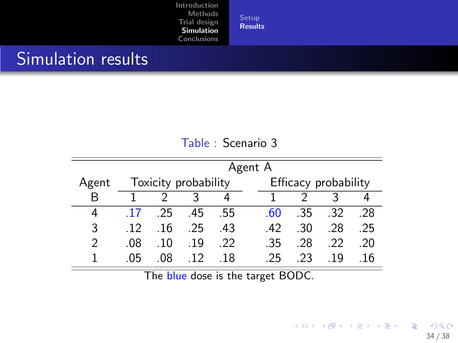[Setup](#page-27-0) [Results](#page-29-0)

#### Simulation results

|               |                 | Agent A              |                 |     |  |              |                      |             |     |  |  |  |
|---------------|-----------------|----------------------|-----------------|-----|--|--------------|----------------------|-------------|-----|--|--|--|
| Agent         |                 | Toxicity probability |                 |     |  |              | Efficacy probability |             |     |  |  |  |
| R             |                 |                      |                 |     |  |              |                      |             |     |  |  |  |
| 4             | -17             | 25 45 55             |                 |     |  | -60          |                      | $.35$ $.32$ | .28 |  |  |  |
| 3             | $\overline{12}$ | .16                  | .25             | -43 |  | $42^{\circ}$ | .30                  | -28         | .25 |  |  |  |
| $\mathcal{P}$ | .08             | .10                  | 19              | -22 |  | .35          | -28                  | -22         | -20 |  |  |  |
|               | -05             | .08                  | $\overline{12}$ | -18 |  | -25          | -23                  | 19          | .16 |  |  |  |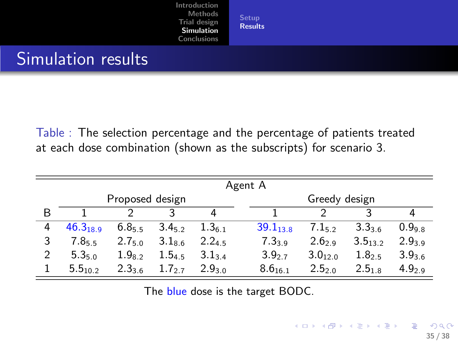**[Setup](#page-27-0)** [Results](#page-29-0)

#### Simulation results

Table : The selection percentage and the percentage of patients treated at each dose combination (shown as the subscripts) for scenario 3.

|   | Agent A       |                 |        |                    |               |                    |                    |                  |  |  |
|---|---------------|-----------------|--------|--------------------|---------------|--------------------|--------------------|------------------|--|--|
|   |               | Proposed design |        |                    | Greedy design |                    |                    |                  |  |  |
| B |               |                 | ર      |                    |               |                    | ς                  |                  |  |  |
| 4 | $46.3_{18.9}$ | 6.855           | 3.452  | 1.361              | $39.1_{13.8}$ | 7.152              | $3.3_{3.6}$        | 0.998            |  |  |
| 3 | 7.855         | $2.7_{5.0}$     | 3.18.6 | 2.245              | 7.33.9        | 2.62.9             | $3.5_{13.2}$       | 2.939            |  |  |
| 2 | 5.350         | $1.9_{8.2}$     | 1.545  | 3.134              | $3.9_{2.7}$   | $3.0_{12.0}$       | 1.8 <sub>2.5</sub> | 3.936            |  |  |
|   | $5.5_{10.2}$  | 2.336           | 1.727  | 2.9 <sub>3.0</sub> | $8.6_{16.1}$  | 2.5 <sub>2.0</sub> | 2.518              | 4.9 <sub>2</sub> |  |  |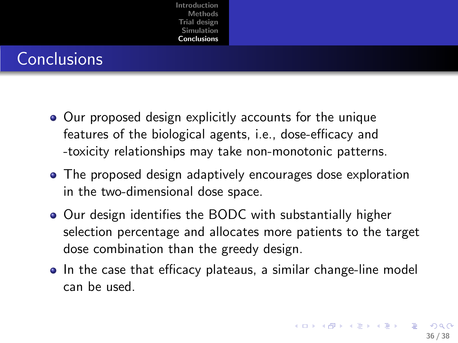### **Conclusions**

- Our proposed design explicitly accounts for the unique features of the biological agents, i.e., dose-efficacy and -toxicity relationships may take non-monotonic patterns.
- The proposed design adaptively encourages dose exploration in the two-dimensional dose space.
- Our design identifies the BODC with substantially higher selection percentage and allocates more patients to the target dose combination than the greedy design.
- <span id="page-35-0"></span>• In the case that efficacy plateaus, a similar change-line model can be used.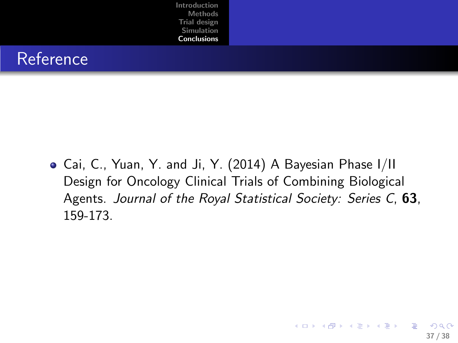

Cai, C., Yuan, Y. and Ji, Y. (2014) A Bayesian Phase I/II Design for Oncology Clinical Trials of Combining Biological Agents. Journal of the Royal Statistical Society: Series C, 63, 159-173.